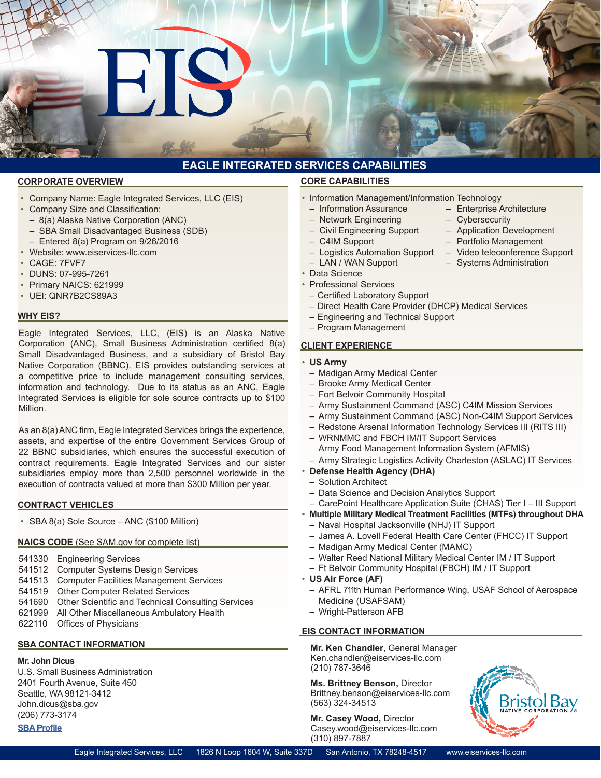# **EAGLE INTEGRATED SERVICES CAPABILITIES**

#### **CORPORATE OVERVIEW**

• Company Name: Eagle Integrated Services, LLC (EIS) Company Size and Classification:

 $\blacksquare$ 

- 8(a) Alaska Native Corporation (ANC)
- 
- SBA Small Disadvantaged Business (SDB) – Entered 8(a) Program on 9/26/2016
- Website: www.eiservices-llc.com
- 
- CAGE: 7FVF7
- DUNS: 07-995-7261
- Primary NAICS: 621999
- UEI: QNR7B2CS89A3

#### **WHY EIS?**

Eagle Integrated Services, LLC, (EIS) is an Alaska Native Corporation (ANC), Small Business Administration certified 8(a) Small Disadvantaged Business, and a subsidiary of Bristol Bay Native Corporation (BBNC). EIS provides outstanding services at a competitive price to include management consulting services, information and technology. Due to its status as an ANC, Eagle Integrated Services is eligible for sole source contracts up to \$100 Million.

As an 8(a)ANC firm, Eagle Integrated Services brings the experience, assets, and expertise of the entire Government Services Group of 22 BBNC subsidiaries, which ensures the successful execution of contract requirements. Eagle Integrated Services and our sister subsidiaries employ more than 2,500 personnel worldwide in the execution of contracts valued at more than \$300 Million per year.

#### **CONTRACT VEHICLES**

• SBA 8(a) Sole Source – ANC (\$100 Million)

#### **NAICS CODE** (See SAM.gov for complete list)

- 541330 Engineering Services
- 541512 Computer Systems Design Services
- 541513 Computer Facilities Management Services
- 541519 Other Computer Related Services
- 541690 Other Scientific and Technical Consulting Services
- 621999 All Other Miscellaneous Ambulatory Health
- 622110 Offices of Physicians

## **SBA CONTACT INFORMATION**

## **Mr. John Dicus**

U.S. Small Business Administration 2401 Fourth Avenue, Suite 450 Seattle, WA 98121-3412 John.dicus@sba.gov (206) 773-3174 **SBA Profile**

#### **CORE CAPABILITIES**

- Information Management/Information Technology
- Information Assurance Enterprise Architecture
- Network Engineering Cybersecurity
- Civil Engineering Support Application Development
	- C4IM Support Portfolio Management
	- Logistics Automation Support Video teleconference Support
	- LAN / WAN Support Systems Administration
- Data Science
- Professional Services
- – Certified Laboratory Support
- Direct Health Care Provider (DHCP) Medical Services
- Engineering and Technical Support
- Program Management

#### **CLIENT EXPERIENCE**

- **US Army**
- Madigan Army Medical Center
- Brooke Army Medical Center
- Fort Belvoir Community Hospital
- Army Sustainment Command (ASC) C4IM Mission Services
- Army Sustainment Command (ASC) Non-C4IM Support Services
- Redstone Arsenal Information Technology Services III (RITS III)
- WRNMMC and FBCH IM/IT Support Services Army Food Management Information System (AFMIS)
- Army Strategic Logistics Activity Charleston (ASLAC) IT Services
- **Defense Health Agency (DHA)**
- Solution Architect
- Data Science and Decision Analytics Support
- CarePoint Healthcare Application Suite (CHAS) Tier I III Support
- **Multiple Military Medical Treatment Facilities (MTFs) throughout DHA**
- Naval Hospital Jacksonville (NHJ) IT Support
- James A. Lovell Federal Health Care Center (FHCC) IT Support
- Madigan Army Medical Center (MAMC)
	- Walter Reed National Military Medical Center IM / IT Support
	- Ft Belvoir Community Hospital (FBCH) IM / IT Support
- **US Air Force (AF)**
	- AFRL 711th Human Performance Wing, USAF School of Aerospace Medicine (USAFSAM)
	- Wright-Patterson AFB

### **EIS CONTACT INFORMATION**

**Mr. Ken Chandler**, General Manager Ken.chandler@eiservices-llc.com (210) 787-3646

**Ms. Brittney Benson,** Director Brittney.benson@eiservices-llc.com (563) 324-34513

**Mr. Casey Wood,** Director Casey.wood@eiservices-llc.com (310) 897-7887